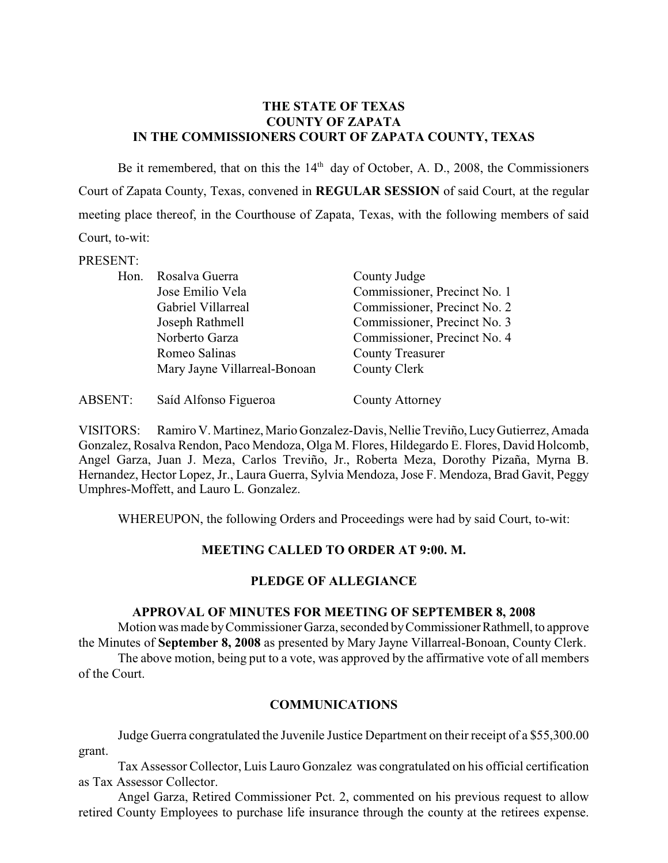#### **THE STATE OF TEXAS COUNTY OF ZAPATA IN THE COMMISSIONERS COURT OF ZAPATA COUNTY, TEXAS**

Be it remembered, that on this the  $14<sup>th</sup>$  day of October, A. D., 2008, the Commissioners Court of Zapata County, Texas, convened in **REGULAR SESSION** of said Court, at the regular meeting place thereof, in the Courthouse of Zapata, Texas, with the following members of said Court, to-wit:

#### PRESENT:

| Hon. | Rosalva Guerra               | County Judge                 |
|------|------------------------------|------------------------------|
|      | Jose Emilio Vela             | Commissioner, Precinct No. 1 |
|      | Gabriel Villarreal           | Commissioner, Precinct No. 2 |
|      | Joseph Rathmell              | Commissioner, Precinct No. 3 |
|      | Norberto Garza               | Commissioner, Precinct No. 4 |
|      | Romeo Salinas                | <b>County Treasurer</b>      |
|      | Mary Jayne Villarreal-Bonoan | County Clerk                 |
|      |                              |                              |

| ABSENT: | Saíd Alfonso Figueroa | County Attorney |
|---------|-----------------------|-----------------|
|---------|-----------------------|-----------------|

VISITORS: Ramiro V. Martinez, Mario Gonzalez-Davis, Nellie Treviño, Lucy Gutierrez, Amada Gonzalez, Rosalva Rendon, Paco Mendoza, Olga M. Flores, Hildegardo E. Flores, David Holcomb, Angel Garza, Juan J. Meza, Carlos Treviño, Jr., Roberta Meza, Dorothy Pizaña, Myrna B. Hernandez, Hector Lopez, Jr., Laura Guerra, Sylvia Mendoza, Jose F. Mendoza, Brad Gavit, Peggy Umphres-Moffett, and Lauro L. Gonzalez.

WHEREUPON, the following Orders and Proceedings were had by said Court, to-wit:

## **MEETING CALLED TO ORDER AT 9:00. M.**

## **PLEDGE OF ALLEGIANCE**

#### **APPROVAL OF MINUTES FOR MEETING OF SEPTEMBER 8, 2008**

Motion was made by Commissioner Garza, seconded by Commissioner Rathmell, to approve the Minutes of **September 8, 2008** as presented by Mary Jayne Villarreal-Bonoan, County Clerk.

The above motion, being put to a vote, was approved by the affirmative vote of all members of the Court.

## **COMMUNICATIONS**

Judge Guerra congratulated the Juvenile Justice Department on their receipt of a \$55,300.00 grant.

Tax Assessor Collector, Luis Lauro Gonzalez was congratulated on his official certification as Tax Assessor Collector.

Angel Garza, Retired Commissioner Pct. 2, commented on his previous request to allow retired County Employees to purchase life insurance through the county at the retirees expense.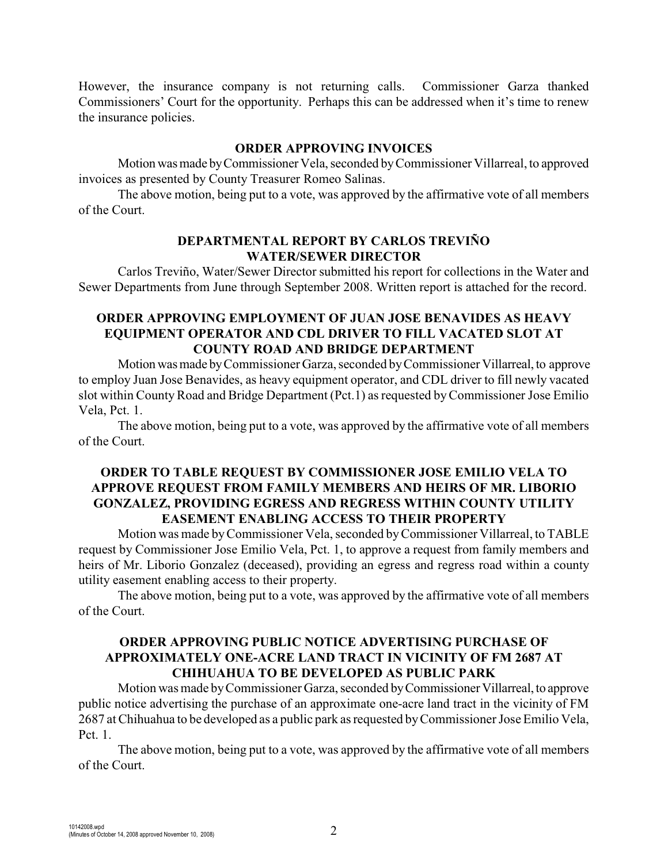However, the insurance company is not returning calls. Commissioner Garza thanked Commissioners' Court for the opportunity. Perhaps this can be addressed when it's time to renew the insurance policies.

#### **ORDER APPROVING INVOICES**

Motion was made by Commissioner Vela, seconded by Commissioner Villarreal, to approved invoices as presented by County Treasurer Romeo Salinas.

The above motion, being put to a vote, was approved by the affirmative vote of all members of the Court.

#### **DEPARTMENTAL REPORT BY CARLOS TREVIÑO WATER/SEWER DIRECTOR**

Carlos Treviño, Water/Sewer Director submitted his report for collections in the Water and Sewer Departments from June through September 2008. Written report is attached for the record.

### **ORDER APPROVING EMPLOYMENT OF JUAN JOSE BENAVIDES AS HEAVY EQUIPMENT OPERATOR AND CDL DRIVER TO FILL VACATED SLOT AT COUNTY ROAD AND BRIDGE DEPARTMENT**

Motion was made by Commissioner Garza, seconded by Commissioner Villarreal, to approve to employ Juan Jose Benavides, as heavy equipment operator, and CDL driver to fill newly vacated slot within County Road and Bridge Department (Pct.1) as requested by Commissioner Jose Emilio Vela, Pct. 1.

The above motion, being put to a vote, was approved by the affirmative vote of all members of the Court.

#### **ORDER TO TABLE REQUEST BY COMMISSIONER JOSE EMILIO VELA TO APPROVE REQUEST FROM FAMILY MEMBERS AND HEIRS OF MR. LIBORIO GONZALEZ, PROVIDING EGRESS AND REGRESS WITHIN COUNTY UTILITY EASEMENT ENABLING ACCESS TO THEIR PROPERTY**

Motion was made by Commissioner Vela, seconded by Commissioner Villarreal, to TABLE request by Commissioner Jose Emilio Vela, Pct. 1, to approve a request from family members and heirs of Mr. Liborio Gonzalez (deceased), providing an egress and regress road within a county utility easement enabling access to their property.

The above motion, being put to a vote, was approved by the affirmative vote of all members of the Court.

# **ORDER APPROVING PUBLIC NOTICE ADVERTISING PURCHASE OF APPROXIMATELY ONE-ACRE LAND TRACT IN VICINITY OF FM 2687 AT CHIHUAHUA TO BE DEVELOPED AS PUBLIC PARK**

Motion was made by Commissioner Garza, seconded by Commissioner Villarreal, to approve public notice advertising the purchase of an approximate one-acre land tract in the vicinity of FM 2687 at Chihuahua to be developed as a public park as requested by Commissioner Jose Emilio Vela, Pct. 1.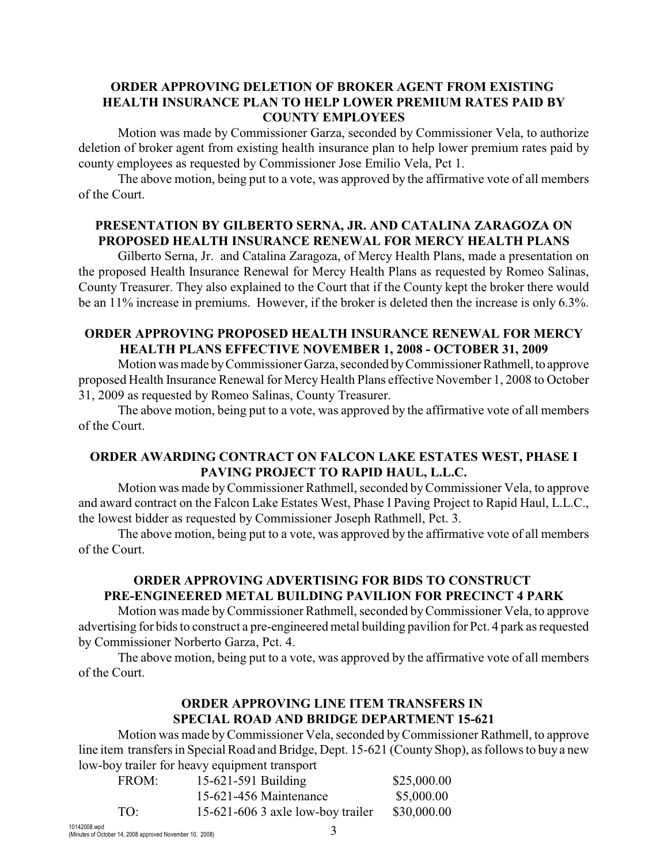### **ORDER APPROVING DELETION OF BROKER AGENT FROM EXISTING HEALTH INSURANCE PLAN TO HELP LOWER PREMIUM RATES PAID BY COUNTY EMPLOYEES**

Motion was made by Commissioner Garza, seconded by Commissioner Vela, to authorize deletion of broker agent from existing health insurance plan to help lower premium rates paid by county employees as requested by Commissioner Jose Emilio Vela, Pct 1.

The above motion, being put to a vote, was approved by the affirmative vote of all members of the Court.

## **PRESENTATION BY GILBERTO SERNA, JR. AND CATALINA ZARAGOZA ON PROPOSED HEALTH INSURANCE RENEWAL FOR MERCY HEALTH PLANS**

Gilberto Serna, Jr. and Catalina Zaragoza, of Mercy Health Plans, made a presentation on the proposed Health Insurance Renewal for Mercy Health Plans as requested by Romeo Salinas, County Treasurer. They also explained to the Court that if the County kept the broker there would be an 11% increase in premiums. However, if the broker is deleted then the increase is only 6.3%.

### **ORDER APPROVING PROPOSED HEALTH INSURANCE RENEWAL FOR MERCY HEALTH PLANS EFFECTIVE NOVEMBER 1, 2008 - OCTOBER 31, 2009**

Motion was made by Commissioner Garza, seconded by Commissioner Rathmell, to approve proposed Health Insurance Renewal for Mercy Health Plans effective November 1, 2008 to October 31, 2009 as requested by Romeo Salinas, County Treasurer.

The above motion, being put to a vote, was approved by the affirmative vote of all members of the Court.

## **ORDER AWARDING CONTRACT ON FALCON LAKE ESTATES WEST, PHASE I PAVING PROJECT TO RAPID HAUL, L.L.C.**

Motion was made by Commissioner Rathmell, seconded by Commissioner Vela, to approve and award contract on the Falcon Lake Estates West, Phase I Paving Project to Rapid Haul, L.L.C., the lowest bidder as requested by Commissioner Joseph Rathmell, Pct. 3.

The above motion, being put to a vote, was approved by the affirmative vote of all members of the Court.

## **ORDER APPROVING ADVERTISING FOR BIDS TO CONSTRUCT PRE-ENGINEERED METAL BUILDING PAVILION FOR PRECINCT 4 PARK**

Motion was made by Commissioner Rathmell, seconded by Commissioner Vela, to approve advertising for bids to construct a pre-engineered metal building pavilion for Pct. 4 park as requested by Commissioner Norberto Garza, Pct. 4.

The above motion, being put to a vote, was approved by the affirmative vote of all members of the Court.

# **ORDER APPROVING LINE ITEM TRANSFERS IN SPECIAL ROAD AND BRIDGE DEPARTMENT 15-621**

Motion was made by Commissioner Vela, seconded by Commissioner Rathmell, to approve line item transfers in Special Road and Bridge, Dept. 15-621 (County Shop), as follows to buy a new low-boy trailer for heavy equipment transport

| FROM: | 15-621-591 Building               | \$25,000.00 |
|-------|-----------------------------------|-------------|
|       | 15-621-456 Maintenance            | \$5,000.00  |
| TO:   | 15-621-606 3 axle low-boy trailer | \$30,000.00 |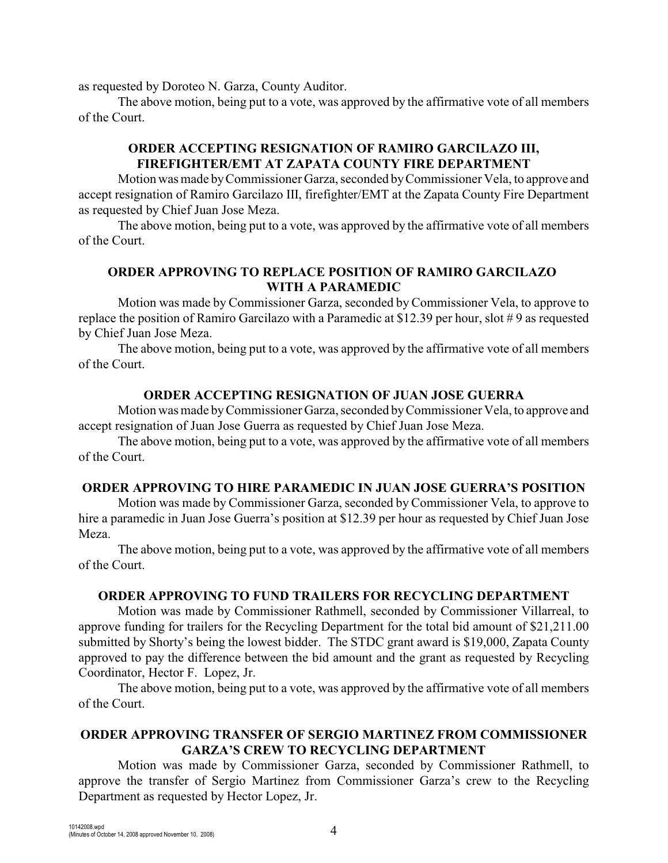as requested by Doroteo N. Garza, County Auditor.

The above motion, being put to a vote, was approved by the affirmative vote of all members of the Court.

# **ORDER ACCEPTING RESIGNATION OF RAMIRO GARCILAZO III, FIREFIGHTER/EMT AT ZAPATA COUNTY FIRE DEPARTMENT**

Motion was made by Commissioner Garza, seconded by Commissioner Vela, to approve and accept resignation of Ramiro Garcilazo III, firefighter/EMT at the Zapata County Fire Department as requested by Chief Juan Jose Meza.

The above motion, being put to a vote, was approved by the affirmative vote of all members of the Court.

### **ORDER APPROVING TO REPLACE POSITION OF RAMIRO GARCILAZO WITH A PARAMEDIC**

Motion was made by Commissioner Garza, seconded byCommissioner Vela, to approve to replace the position of Ramiro Garcilazo with a Paramedic at \$12.39 per hour, slot # 9 as requested by Chief Juan Jose Meza.

The above motion, being put to a vote, was approved by the affirmative vote of all members of the Court.

## **ORDER ACCEPTING RESIGNATION OF JUAN JOSE GUERRA**

Motion was made byCommissioner Garza, seconded by Commissioner Vela, to approve and accept resignation of Juan Jose Guerra as requested by Chief Juan Jose Meza.

The above motion, being put to a vote, was approved by the affirmative vote of all members of the Court.

## **ORDER APPROVING TO HIRE PARAMEDIC IN JUAN JOSE GUERRA'S POSITION**

Motion was made by Commissioner Garza, seconded byCommissioner Vela, to approve to hire a paramedic in Juan Jose Guerra's position at \$12.39 per hour as requested by Chief Juan Jose Meza.

The above motion, being put to a vote, was approved by the affirmative vote of all members of the Court.

#### **ORDER APPROVING TO FUND TRAILERS FOR RECYCLING DEPARTMENT**

Motion was made by Commissioner Rathmell, seconded by Commissioner Villarreal, to approve funding for trailers for the Recycling Department for the total bid amount of \$21,211.00 submitted by Shorty's being the lowest bidder. The STDC grant award is \$19,000, Zapata County approved to pay the difference between the bid amount and the grant as requested by Recycling Coordinator, Hector F. Lopez, Jr.

The above motion, being put to a vote, was approved by the affirmative vote of all members of the Court.

# **ORDER APPROVING TRANSFER OF SERGIO MARTINEZ FROM COMMISSIONER GARZA'S CREW TO RECYCLING DEPARTMENT**

Motion was made by Commissioner Garza, seconded by Commissioner Rathmell, to approve the transfer of Sergio Martinez from Commissioner Garza's crew to the Recycling Department as requested by Hector Lopez, Jr.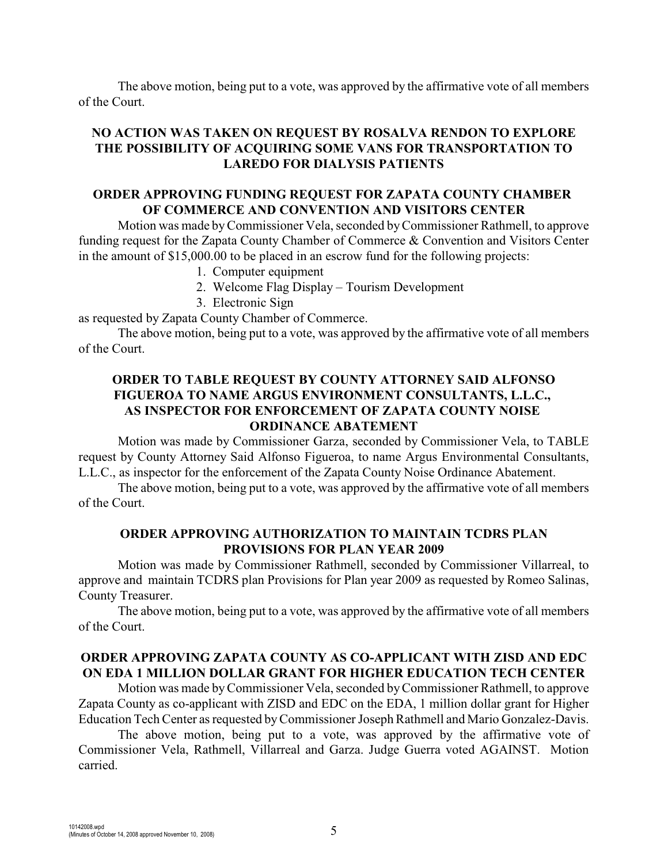The above motion, being put to a vote, was approved by the affirmative vote of all members of the Court.

# **NO ACTION WAS TAKEN ON REQUEST BY ROSALVA RENDON TO EXPLORE THE POSSIBILITY OF ACQUIRING SOME VANS FOR TRANSPORTATION TO LAREDO FOR DIALYSIS PATIENTS**

### **ORDER APPROVING FUNDING REQUEST FOR ZAPATA COUNTY CHAMBER OF COMMERCE AND CONVENTION AND VISITORS CENTER**

Motion was made by Commissioner Vela, seconded by Commissioner Rathmell, to approve funding request for the Zapata County Chamber of Commerce & Convention and Visitors Center in the amount of \$15,000.00 to be placed in an escrow fund for the following projects:

- 1. Computer equipment
- 2. Welcome Flag Display Tourism Development
- 3. Electronic Sign

as requested by Zapata County Chamber of Commerce.

The above motion, being put to a vote, was approved by the affirmative vote of all members of the Court.

# **ORDER TO TABLE REQUEST BY COUNTY ATTORNEY SAID ALFONSO FIGUEROA TO NAME ARGUS ENVIRONMENT CONSULTANTS, L.L.C., AS INSPECTOR FOR ENFORCEMENT OF ZAPATA COUNTY NOISE ORDINANCE ABATEMENT**

Motion was made by Commissioner Garza, seconded by Commissioner Vela, to TABLE request by County Attorney Said Alfonso Figueroa, to name Argus Environmental Consultants, L.L.C., as inspector for the enforcement of the Zapata County Noise Ordinance Abatement.

The above motion, being put to a vote, was approved by the affirmative vote of all members of the Court.

#### **ORDER APPROVING AUTHORIZATION TO MAINTAIN TCDRS PLAN PROVISIONS FOR PLAN YEAR 2009**

Motion was made by Commissioner Rathmell, seconded by Commissioner Villarreal, to approve and maintain TCDRS plan Provisions for Plan year 2009 as requested by Romeo Salinas, County Treasurer.

The above motion, being put to a vote, was approved by the affirmative vote of all members of the Court.

## **ORDER APPROVING ZAPATA COUNTY AS CO-APPLICANT WITH ZISD AND EDC ON EDA 1 MILLION DOLLAR GRANT FOR HIGHER EDUCATION TECH CENTER**

Motion was made by Commissioner Vela, seconded by Commissioner Rathmell, to approve Zapata County as co-applicant with ZISD and EDC on the EDA, 1 million dollar grant for Higher Education Tech Center as requested by Commissioner Joseph Rathmell and Mario Gonzalez-Davis.

The above motion, being put to a vote, was approved by the affirmative vote of Commissioner Vela, Rathmell, Villarreal and Garza. Judge Guerra voted AGAINST. Motion carried.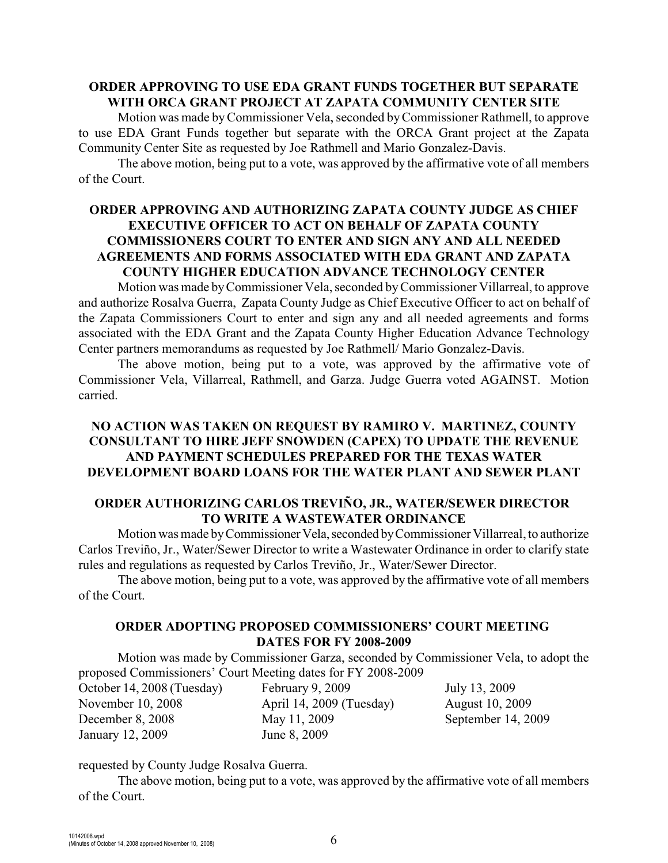#### **ORDER APPROVING TO USE EDA GRANT FUNDS TOGETHER BUT SEPARATE WITH ORCA GRANT PROJECT AT ZAPATA COMMUNITY CENTER SITE**

Motion was made by Commissioner Vela, seconded by Commissioner Rathmell, to approve to use EDA Grant Funds together but separate with the ORCA Grant project at the Zapata Community Center Site as requested by Joe Rathmell and Mario Gonzalez-Davis.

The above motion, being put to a vote, was approved by the affirmative vote of all members of the Court.

## **ORDER APPROVING AND AUTHORIZING ZAPATA COUNTY JUDGE AS CHIEF EXECUTIVE OFFICER TO ACT ON BEHALF OF ZAPATA COUNTY COMMISSIONERS COURT TO ENTER AND SIGN ANY AND ALL NEEDED AGREEMENTS AND FORMS ASSOCIATED WITH EDA GRANT AND ZAPATA COUNTY HIGHER EDUCATION ADVANCE TECHNOLOGY CENTER**

Motion was made byCommissioner Vela, seconded by Commissioner Villarreal, to approve and authorize Rosalva Guerra, Zapata County Judge as Chief Executive Officer to act on behalf of the Zapata Commissioners Court to enter and sign any and all needed agreements and forms associated with the EDA Grant and the Zapata County Higher Education Advance Technology Center partners memorandums as requested by Joe Rathmell/ Mario Gonzalez-Davis.

The above motion, being put to a vote, was approved by the affirmative vote of Commissioner Vela, Villarreal, Rathmell, and Garza. Judge Guerra voted AGAINST. Motion carried.

### **NO ACTION WAS TAKEN ON REQUEST BY RAMIRO V. MARTINEZ, COUNTY CONSULTANT TO HIRE JEFF SNOWDEN (CAPEX) TO UPDATE THE REVENUE AND PAYMENT SCHEDULES PREPARED FOR THE TEXAS WATER DEVELOPMENT BOARD LOANS FOR THE WATER PLANT AND SEWER PLANT**

#### **ORDER AUTHORIZING CARLOS TREVIÑO, JR., WATER/SEWER DIRECTOR TO WRITE A WASTEWATER ORDINANCE**

Motion was made by Commissioner Vela, seconded by Commissioner Villarreal, to authorize Carlos Treviño, Jr., Water/Sewer Director to write a Wastewater Ordinance in order to clarify state rules and regulations as requested by Carlos Treviño, Jr., Water/Sewer Director.

The above motion, being put to a vote, was approved by the affirmative vote of all members of the Court.

## **ORDER ADOPTING PROPOSED COMMISSIONERS' COURT MEETING DATES FOR FY 2008-2009**

Motion was made by Commissioner Garza, seconded by Commissioner Vela, to adopt the proposed Commissioners' Court Meeting dates for FY 2008-2009

October 14, 2008 (Tuesday) November 10, 2008 December 8, 2008 January 12, 2009

February 9, 2009 April 14, 2009 (Tuesday) May 11, 2009 June 8, 2009

July 13, 2009 August 10, 2009 September 14, 2009

#### requested by County Judge Rosalva Guerra.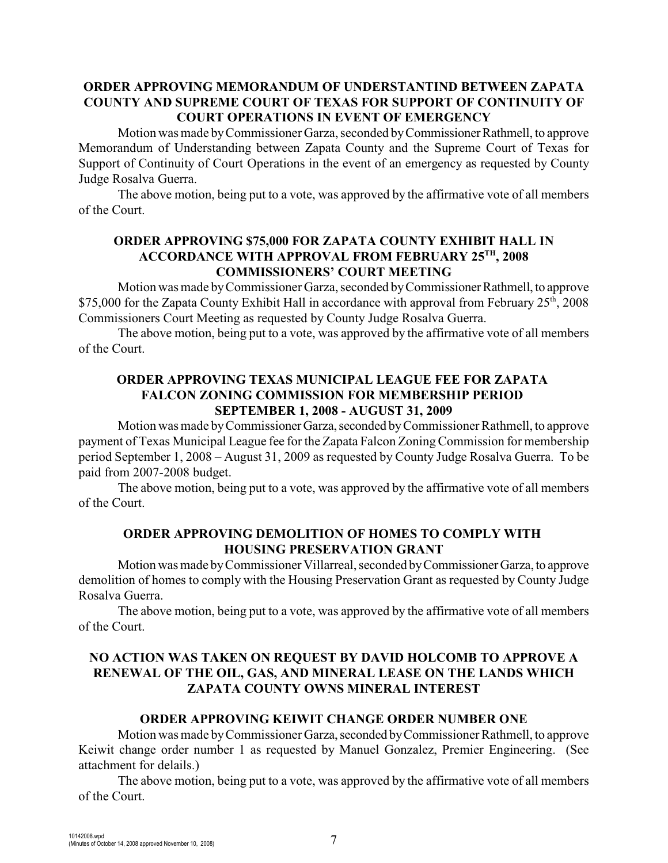# **ORDER APPROVING MEMORANDUM OF UNDERSTANTIND BETWEEN ZAPATA COUNTY AND SUPREME COURT OF TEXAS FOR SUPPORT OF CONTINUITY OF COURT OPERATIONS IN EVENT OF EMERGENCY**

Motion was made by Commissioner Garza, seconded by Commissioner Rathmell, to approve Memorandum of Understanding between Zapata County and the Supreme Court of Texas for Support of Continuity of Court Operations in the event of an emergency as requested by County Judge Rosalva Guerra.

The above motion, being put to a vote, was approved by the affirmative vote of all members of the Court.

### **ORDER APPROVING \$75,000 FOR ZAPATA COUNTY EXHIBIT HALL IN** ACCORDANCE WITH APPROVAL FROM FEBRUARY 25TH, 2008 **COMMISSIONERS' COURT MEETING**

Motion was made by Commissioner Garza, seconded by Commissioner Rathmell, to approve \$75,000 for the Zapata County Exhibit Hall in accordance with approval from February  $25<sup>th</sup>$ , 2008 Commissioners Court Meeting as requested by County Judge Rosalva Guerra.

The above motion, being put to a vote, was approved by the affirmative vote of all members of the Court.

#### **ORDER APPROVING TEXAS MUNICIPAL LEAGUE FEE FOR ZAPATA FALCON ZONING COMMISSION FOR MEMBERSHIP PERIOD SEPTEMBER 1, 2008 - AUGUST 31, 2009**

Motion was made by Commissioner Garza, seconded by Commissioner Rathmell, to approve payment of Texas Municipal League fee for the Zapata Falcon Zoning Commission for membership period September 1, 2008 – August 31, 2009 as requested by County Judge Rosalva Guerra. To be paid from 2007-2008 budget.

The above motion, being put to a vote, was approved by the affirmative vote of all members of the Court.

## **ORDER APPROVING DEMOLITION OF HOMES TO COMPLY WITH HOUSING PRESERVATION GRANT**

Motion was made by Commissioner Villarreal, seconded by Commissioner Garza, to approve demolition of homes to comply with the Housing Preservation Grant as requested by County Judge Rosalva Guerra.

The above motion, being put to a vote, was approved by the affirmative vote of all members of the Court.

# **NO ACTION WAS TAKEN ON REQUEST BY DAVID HOLCOMB TO APPROVE A RENEWAL OF THE OIL, GAS, AND MINERAL LEASE ON THE LANDS WHICH ZAPATA COUNTY OWNS MINERAL INTEREST**

## **ORDER APPROVING KEIWIT CHANGE ORDER NUMBER ONE**

Motion was made by Commissioner Garza, seconded by Commissioner Rathmell, to approve Keiwit change order number 1 as requested by Manuel Gonzalez, Premier Engineering. (See attachment for delails.)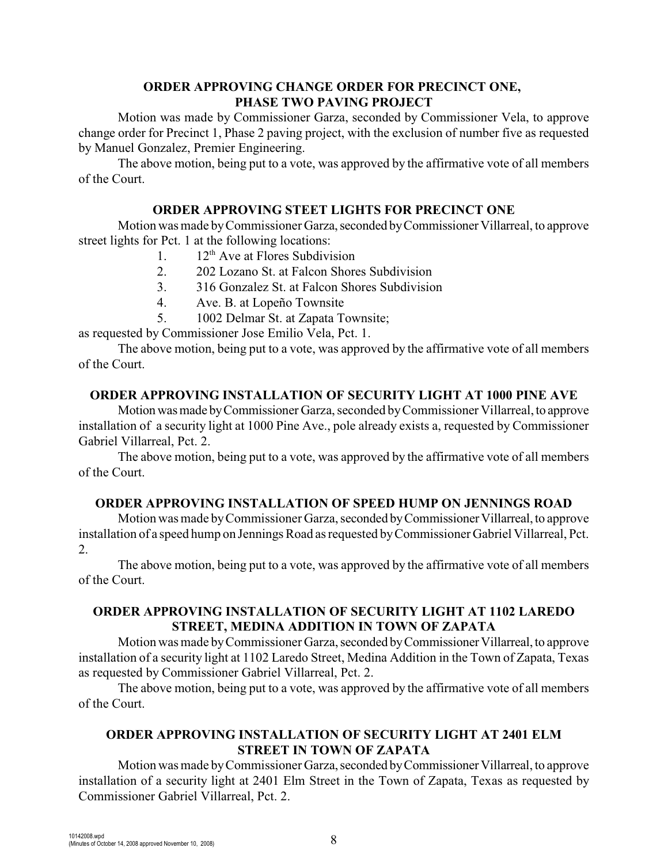## **ORDER APPROVING CHANGE ORDER FOR PRECINCT ONE, PHASE TWO PAVING PROJECT**

Motion was made by Commissioner Garza, seconded by Commissioner Vela, to approve change order for Precinct 1, Phase 2 paving project, with the exclusion of number five as requested by Manuel Gonzalez, Premier Engineering.

The above motion, being put to a vote, was approved by the affirmative vote of all members of the Court.

### **ORDER APPROVING STEET LIGHTS FOR PRECINCT ONE**

Motion was made by Commissioner Garza, seconded by Commissioner Villarreal, to approve street lights for Pct. 1 at the following locations:

- 1.  $12^{th}$  Ave at Flores Subdivision
- 2. 202 Lozano St. at Falcon Shores Subdivision
- 3. 316 Gonzalez St. at Falcon Shores Subdivision
- 4. Ave. B. at Lopeño Townsite
- 5. 1002 Delmar St. at Zapata Townsite;

as requested by Commissioner Jose Emilio Vela, Pct. 1.

The above motion, being put to a vote, was approved by the affirmative vote of all members of the Court.

#### **ORDER APPROVING INSTALLATION OF SECURITY LIGHT AT 1000 PINE AVE**

Motion was made by Commissioner Garza, seconded by Commissioner Villarreal, to approve installation of a security light at 1000 Pine Ave., pole already exists a, requested by Commissioner Gabriel Villarreal, Pct. 2.

The above motion, being put to a vote, was approved by the affirmative vote of all members of the Court.

## **ORDER APPROVING INSTALLATION OF SPEED HUMP ON JENNINGS ROAD**

Motion was made by Commissioner Garza, seconded by Commissioner Villarreal, to approve installation of a speed hump on Jennings Road as requested by Commissioner Gabriel Villarreal, Pct. 2.

The above motion, being put to a vote, was approved by the affirmative vote of all members of the Court.

## **ORDER APPROVING INSTALLATION OF SECURITY LIGHT AT 1102 LAREDO STREET, MEDINA ADDITION IN TOWN OF ZAPATA**

Motion was made by Commissioner Garza, seconded by Commissioner Villarreal, to approve installation of a security light at 1102 Laredo Street, Medina Addition in the Town of Zapata, Texas as requested by Commissioner Gabriel Villarreal, Pct. 2.

The above motion, being put to a vote, was approved by the affirmative vote of all members of the Court.

# **ORDER APPROVING INSTALLATION OF SECURITY LIGHT AT 2401 ELM STREET IN TOWN OF ZAPATA**

Motion was made by Commissioner Garza, seconded by Commissioner Villarreal, to approve installation of a security light at 2401 Elm Street in the Town of Zapata, Texas as requested by Commissioner Gabriel Villarreal, Pct. 2.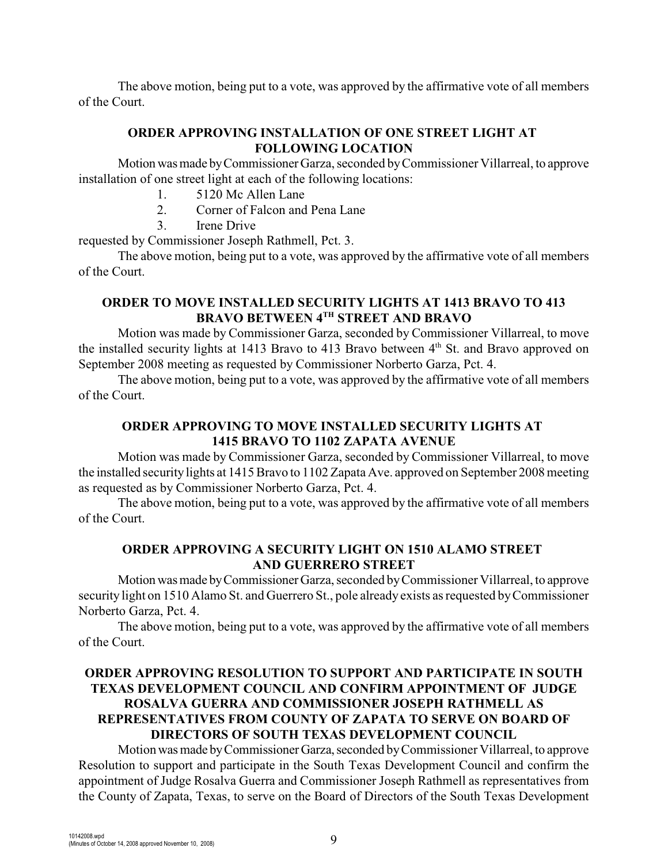The above motion, being put to a vote, was approved by the affirmative vote of all members of the Court.

## **ORDER APPROVING INSTALLATION OF ONE STREET LIGHT AT FOLLOWING LOCATION**

Motion was made by Commissioner Garza, seconded by Commissioner Villarreal, to approve installation of one street light at each of the following locations:

- 1. 5120 Mc Allen Lane
- 2. Corner of Falcon and Pena Lane
- 3. Irene Drive

requested by Commissioner Joseph Rathmell, Pct. 3.

The above motion, being put to a vote, was approved by the affirmative vote of all members of the Court.

# **ORDER TO MOVE INSTALLED SECURITY LIGHTS AT 1413 BRAVO TO 413 BRAVO BETWEEN 4TH STREET AND BRAVO**

Motion was made by Commissioner Garza, seconded by Commissioner Villarreal, to move the installed security lights at 1413 Bravo to 413 Bravo between 4<sup>th</sup> St. and Bravo approved on September 2008 meeting as requested by Commissioner Norberto Garza, Pct. 4.

The above motion, being put to a vote, was approved by the affirmative vote of all members of the Court.

# **ORDER APPROVING TO MOVE INSTALLED SECURITY LIGHTS AT 1415 BRAVO TO 1102 ZAPATA AVENUE**

Motion was made by Commissioner Garza, seconded by Commissioner Villarreal, to move the installed security lights at 1415 Bravo to 1102 Zapata Ave. approved on September 2008 meeting as requested as by Commissioner Norberto Garza, Pct. 4.

The above motion, being put to a vote, was approved by the affirmative vote of all members of the Court.

## **ORDER APPROVING A SECURITY LIGHT ON 1510 ALAMO STREET AND GUERRERO STREET**

Motion was made by Commissioner Garza, seconded by Commissioner Villarreal, to approve security light on 1510 Alamo St. and Guerrero St., pole already exists as requested by Commissioner Norberto Garza, Pct. 4.

The above motion, being put to a vote, was approved by the affirmative vote of all members of the Court.

# **ORDER APPROVING RESOLUTION TO SUPPORT AND PARTICIPATE IN SOUTH TEXAS DEVELOPMENT COUNCIL AND CONFIRM APPOINTMENT OF JUDGE ROSALVA GUERRA AND COMMISSIONER JOSEPH RATHMELL AS REPRESENTATIVES FROM COUNTY OF ZAPATA TO SERVE ON BOARD OF DIRECTORS OF SOUTH TEXAS DEVELOPMENT COUNCIL**

Motion was made by Commissioner Garza, seconded by Commissioner Villarreal, to approve Resolution to support and participate in the South Texas Development Council and confirm the appointment of Judge Rosalva Guerra and Commissioner Joseph Rathmell as representatives from the County of Zapata, Texas, to serve on the Board of Directors of the South Texas Development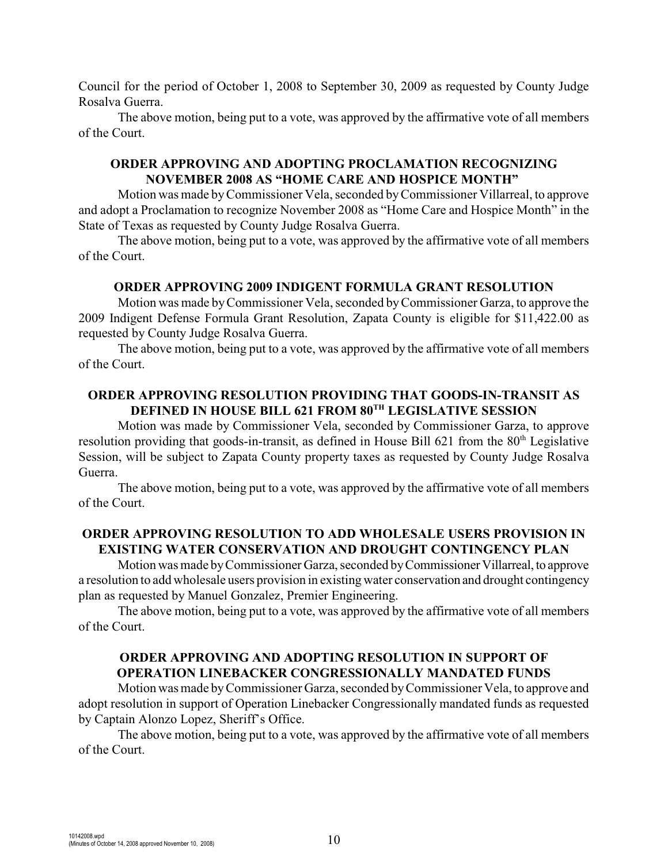Council for the period of October 1, 2008 to September 30, 2009 as requested by County Judge Rosalva Guerra.

The above motion, being put to a vote, was approved by the affirmative vote of all members of the Court.

#### **ORDER APPROVING AND ADOPTING PROCLAMATION RECOGNIZING NOVEMBER 2008 AS "HOME CARE AND HOSPICE MONTH"**

Motion was made byCommissioner Vela, seconded byCommissioner Villarreal, to approve and adopt a Proclamation to recognize November 2008 as "Home Care and Hospice Month" in the State of Texas as requested by County Judge Rosalva Guerra.

The above motion, being put to a vote, was approved by the affirmative vote of all members of the Court.

#### **ORDER APPROVING 2009 INDIGENT FORMULA GRANT RESOLUTION**

Motion was made by Commissioner Vela, seconded by Commissioner Garza, to approve the 2009 Indigent Defense Formula Grant Resolution, Zapata County is eligible for \$11,422.00 as requested by County Judge Rosalva Guerra.

The above motion, being put to a vote, was approved by the affirmative vote of all members of the Court.

#### **ORDER APPROVING RESOLUTION PROVIDING THAT GOODS-IN-TRANSIT AS DEFINED IN HOUSE BILL 621 FROM 80<sup>TH</sup> LEGISLATIVE SESSION**

Motion was made by Commissioner Vela, seconded by Commissioner Garza, to approve resolution providing that goods-in-transit, as defined in House Bill 621 from the  $80<sup>th</sup>$  Legislative Session, will be subject to Zapata County property taxes as requested by County Judge Rosalva Guerra.

The above motion, being put to a vote, was approved by the affirmative vote of all members of the Court.

#### **ORDER APPROVING RESOLUTION TO ADD WHOLESALE USERS PROVISION IN EXISTING WATER CONSERVATION AND DROUGHT CONTINGENCY PLAN**

Motion was made by Commissioner Garza, seconded by Commissioner Villarreal, to approve a resolution to add wholesale users provision in existing water conservation and drought contingency plan as requested by Manuel Gonzalez, Premier Engineering.

The above motion, being put to a vote, was approved by the affirmative vote of all members of the Court.

#### **ORDER APPROVING AND ADOPTING RESOLUTION IN SUPPORT OF OPERATION LINEBACKER CONGRESSIONALLY MANDATED FUNDS**

Motion was made byCommissioner Garza, seconded by Commissioner Vela, to approve and adopt resolution in support of Operation Linebacker Congressionally mandated funds as requested by Captain Alonzo Lopez, Sheriff's Office.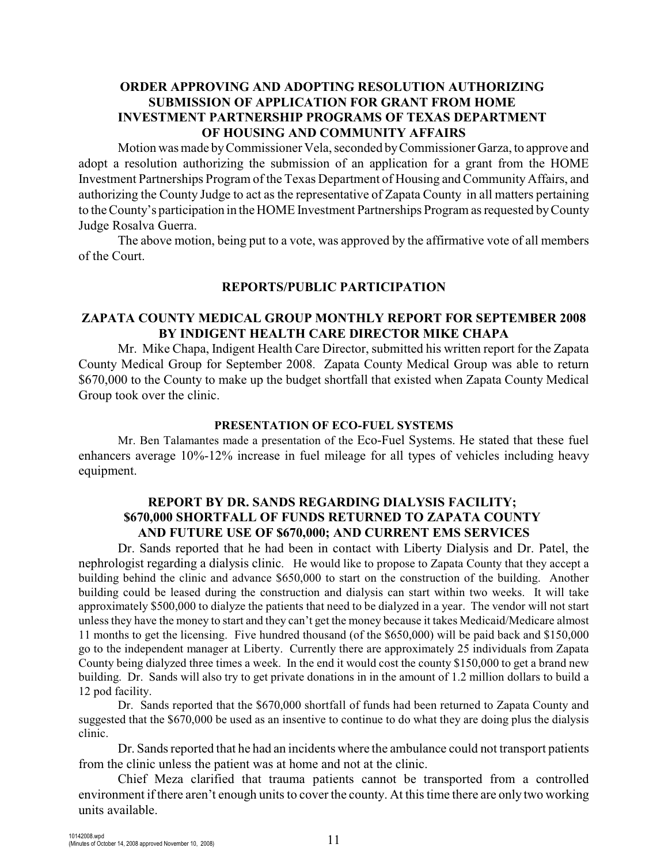## **ORDER APPROVING AND ADOPTING RESOLUTION AUTHORIZING SUBMISSION OF APPLICATION FOR GRANT FROM HOME INVESTMENT PARTNERSHIP PROGRAMS OF TEXAS DEPARTMENT OF HOUSING AND COMMUNITY AFFAIRS**

Motion was made by Commissioner Vela, seconded by Commissioner Garza, to approve and adopt a resolution authorizing the submission of an application for a grant from the HOME Investment Partnerships Program of the Texas Department of Housing and Community Affairs, and authorizing the County Judge to act as the representative of Zapata County in all matters pertaining to the County's participation in the HOME Investment Partnerships Program as requested by County Judge Rosalva Guerra.

The above motion, being put to a vote, was approved by the affirmative vote of all members of the Court.

#### **REPORTS/PUBLIC PARTICIPATION**

#### **ZAPATA COUNTY MEDICAL GROUP MONTHLY REPORT FOR SEPTEMBER 2008 BY INDIGENT HEALTH CARE DIRECTOR MIKE CHAPA**

Mr. Mike Chapa, Indigent Health Care Director, submitted his written report for the Zapata County Medical Group for September 2008. Zapata County Medical Group was able to return \$670,000 to the County to make up the budget shortfall that existed when Zapata County Medical Group took over the clinic.

#### **PRESENTATION OF ECO-FUEL SYSTEMS**

Mr. Ben Talamantes made a presentation of the Eco-Fuel Systems. He stated that these fuel enhancers average 10%-12% increase in fuel mileage for all types of vehicles including heavy equipment.

#### **REPORT BY DR. SANDS REGARDING DIALYSIS FACILITY; \$670,000 SHORTFALL OF FUNDS RETURNED TO ZAPATA COUNTY AND FUTURE USE OF \$670,000; AND CURRENT EMS SERVICES**

Dr. Sands reported that he had been in contact with Liberty Dialysis and Dr. Patel, the nephrologist regarding a dialysis clinic. He would like to propose to Zapata County that they accept a building behind the clinic and advance \$650,000 to start on the construction of the building. Another building could be leased during the construction and dialysis can start within two weeks. It will take approximately \$500,000 to dialyze the patients that need to be dialyzed in a year. The vendor will not start unless they have the money to start and they can't get the money because it takes Medicaid/Medicare almost 11 months to get the licensing. Five hundred thousand (of the \$650,000) will be paid back and \$150,000 go to the independent manager at Liberty. Currently there are approximately 25 individuals from Zapata County being dialyzed three times a week. In the end it would cost the county \$150,000 to get a brand new building. Dr. Sands will also try to get private donations in in the amount of 1.2 million dollars to build a 12 pod facility.

Dr. Sands reported that the \$670,000 shortfall of funds had been returned to Zapata County and suggested that the \$670,000 be used as an insentive to continue to do what they are doing plus the dialysis clinic.

Dr. Sands reported that he had an incidents where the ambulance could not transport patients from the clinic unless the patient was at home and not at the clinic.

Chief Meza clarified that trauma patients cannot be transported from a controlled environment if there aren't enough units to cover the county. At this time there are only two working units available.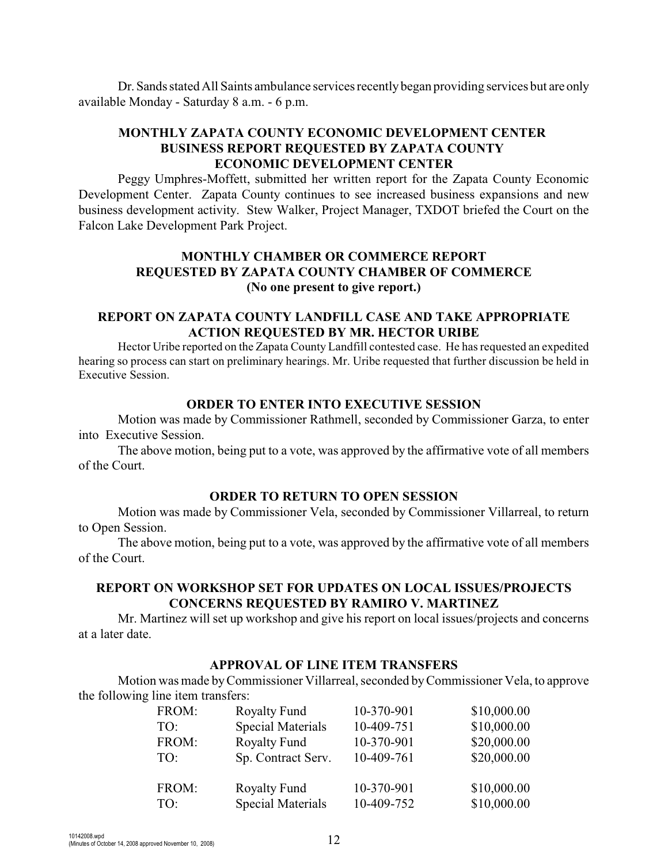Dr. Sands stated All Saints ambulance services recently began providing services but are only available Monday - Saturday 8 a.m. - 6 p.m.

# **MONTHLY ZAPATA COUNTY ECONOMIC DEVELOPMENT CENTER BUSINESS REPORT REQUESTED BY ZAPATA COUNTY ECONOMIC DEVELOPMENT CENTER**

Peggy Umphres-Moffett, submitted her written report for the Zapata County Economic Development Center. Zapata County continues to see increased business expansions and new business development activity. Stew Walker, Project Manager, TXDOT briefed the Court on the Falcon Lake Development Park Project.

### **MONTHLY CHAMBER OR COMMERCE REPORT REQUESTED BY ZAPATA COUNTY CHAMBER OF COMMERCE (No one present to give report.)**

#### **REPORT ON ZAPATA COUNTY LANDFILL CASE AND TAKE APPROPRIATE ACTION REQUESTED BY MR. HECTOR URIBE**

Hector Uribe reported on the Zapata County Landfill contested case. He has requested an expedited hearing so process can start on preliminary hearings. Mr. Uribe requested that further discussion be held in Executive Session.

#### **ORDER TO ENTER INTO EXECUTIVE SESSION**

Motion was made by Commissioner Rathmell, seconded by Commissioner Garza, to enter into Executive Session.

The above motion, being put to a vote, was approved by the affirmative vote of all members of the Court.

#### **ORDER TO RETURN TO OPEN SESSION**

Motion was made by Commissioner Vela, seconded by Commissioner Villarreal, to return to Open Session.

The above motion, being put to a vote, was approved by the affirmative vote of all members of the Court.

#### **REPORT ON WORKSHOP SET FOR UPDATES ON LOCAL ISSUES/PROJECTS CONCERNS REQUESTED BY RAMIRO V. MARTINEZ**

Mr. Martinez will set up workshop and give his report on local issues/projects and concerns at a later date.

#### **APPROVAL OF LINE ITEM TRANSFERS**

Motion was made byCommissioner Villarreal, seconded by Commissioner Vela, to approve the following line item transfers:

| FROM: | <b>Royalty Fund</b>      | 10-370-901 | \$10,000.00 |
|-------|--------------------------|------------|-------------|
| TO:   | <b>Special Materials</b> | 10-409-751 | \$10,000.00 |
| FROM: | <b>Royalty Fund</b>      | 10-370-901 | \$20,000.00 |
| TO:   | Sp. Contract Serv.       | 10-409-761 | \$20,000.00 |
|       |                          |            |             |
| FROM: | <b>Royalty Fund</b>      | 10-370-901 | \$10,000.00 |
| TO:   | <b>Special Materials</b> | 10-409-752 | \$10,000.00 |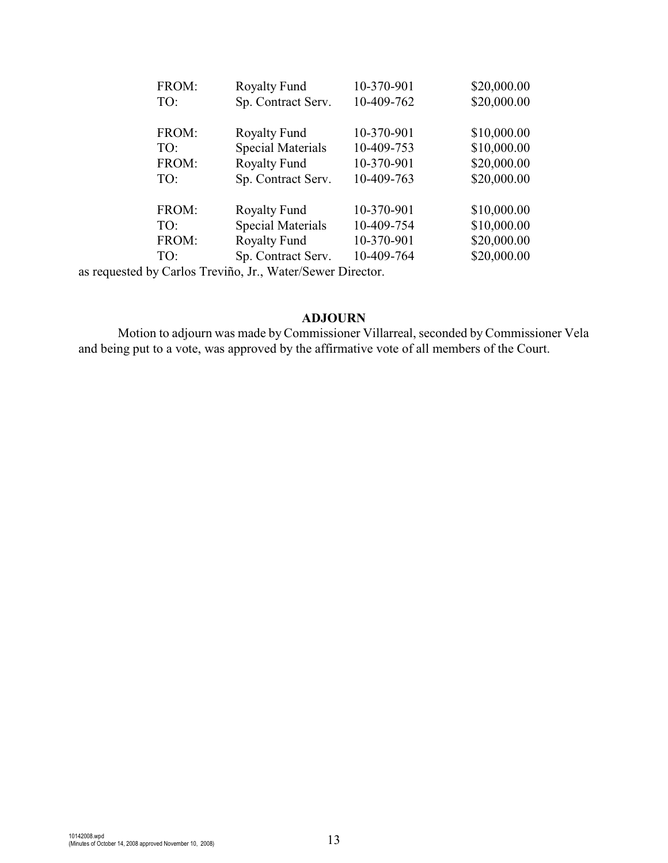| <b>Royalty Fund</b>      | 10-370-901 | \$20,000.00 |
|--------------------------|------------|-------------|
| Sp. Contract Serv.       | 10-409-762 | \$20,000.00 |
|                          |            |             |
| <b>Royalty Fund</b>      | 10-370-901 | \$10,000.00 |
| <b>Special Materials</b> | 10-409-753 | \$10,000.00 |
| <b>Royalty Fund</b>      | 10-370-901 | \$20,000.00 |
| Sp. Contract Serv.       | 10-409-763 | \$20,000.00 |
|                          |            |             |
| <b>Royalty Fund</b>      | 10-370-901 | \$10,000.00 |
| <b>Special Materials</b> | 10-409-754 | \$10,000.00 |
| <b>Royalty Fund</b>      | 10-370-901 | \$20,000.00 |
| Sp. Contract Serv.       | 10-409-764 | \$20,000.00 |
|                          |            |             |

as requested by Carlos Treviño, Jr., Water/Sewer Director.

#### **ADJOURN**

Motion to adjourn was made by Commissioner Villarreal, seconded by Commissioner Vela and being put to a vote, was approved by the affirmative vote of all members of the Court.